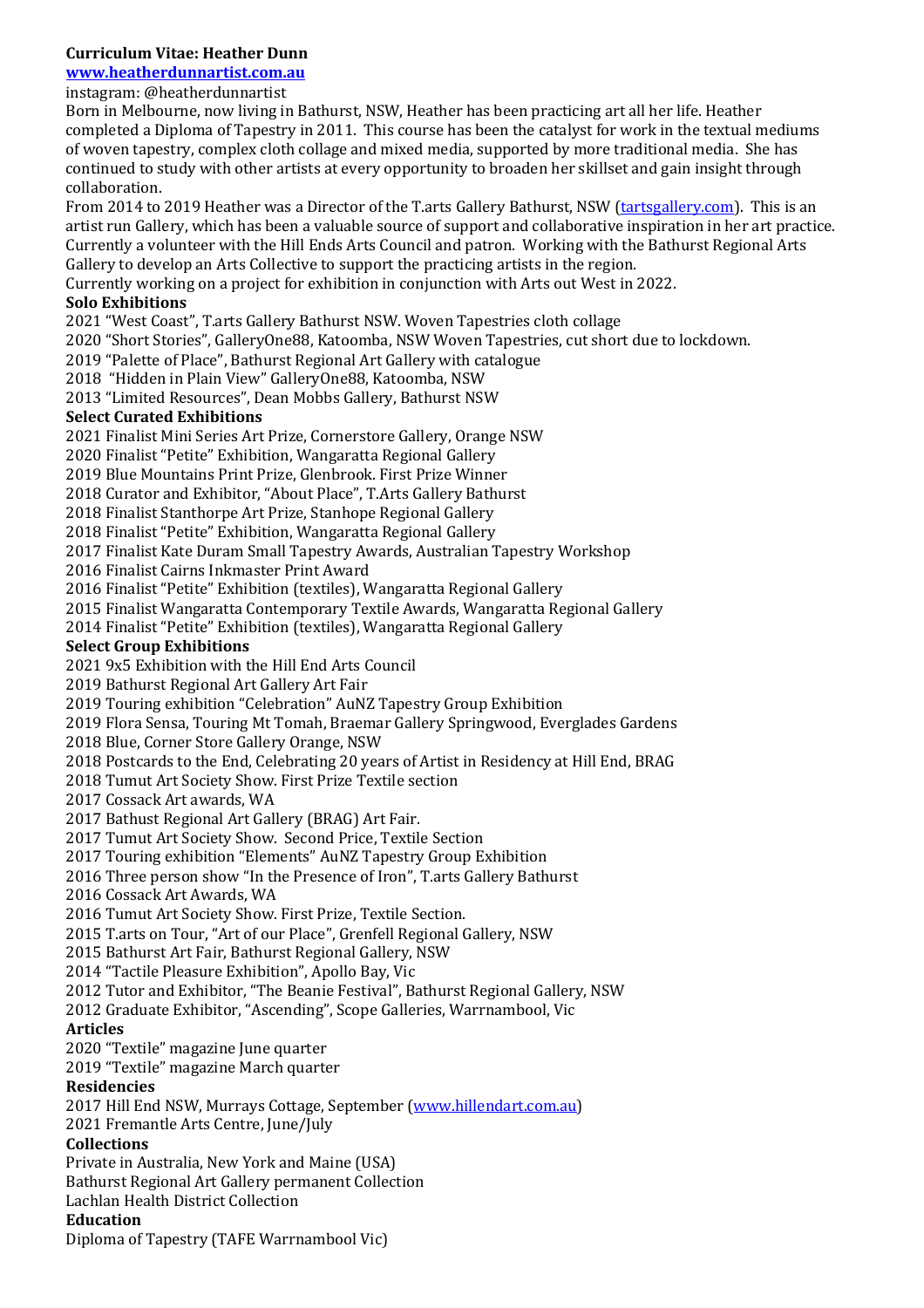## **Curriculum Vitae: Heather Dunn**

# **www.heatherdunnartist.com.au**

### instagram: @heatherdunnartist

Born in Melbourne, now living in Bathurst, NSW, Heather has been practicing art all her life. Heather completed a Diploma of Tapestry in 2011. This course has been the catalyst for work in the textual mediums of woven tapestry, complex cloth collage and mixed media, supported by more traditional media. She has continued to study with other artists at every opportunity to broaden her skillset and gain insight through collaboration.

From 2014 to 2019 Heather was a Director of the T.arts Gallery Bathurst, NSW (tartsgallery.com). This is an artist run Gallery, which has been a valuable source of support and collaborative inspiration in her art practice. Currently a volunteer with the Hill Ends Arts Council and patron. Working with the Bathurst Regional Arts Gallery to develop an Arts Collective to support the practicing artists in the region.

Currently working on a project for exhibition in conjunction with Arts out West in 2022.

#### **Solo Exhibitions**

2021 "West Coast", T.arts Gallery Bathurst NSW. Woven Tapestries cloth collage

2020 "Short Stories", GalleryOne88, Katoomba, NSW Woven Tapestries, cut short due to lockdown.

2019 "Palette of Place", Bathurst Regional Art Gallery with catalogue

2018 "Hidden in Plain View" GalleryOne88, Katoomba, NSW

2013 "Limited Resources", Dean Mobbs Gallery, Bathurst NSW

#### **Select Curated Exhibitions**

2021 Finalist Mini Series Art Prize, Cornerstore Gallery, Orange NSW

2020 Finalist "Petite" Exhibition, Wangaratta Regional Gallery

2019 Blue Mountains Print Prize, Glenbrook. First Prize Winner

2018 Curator and Exhibitor, "About Place", T.Arts Gallery Bathurst

2018 Finalist Stanthorpe Art Prize, Stanhope Regional Gallery

2018 Finalist "Petite" Exhibition, Wangaratta Regional Gallery

2017 Finalist Kate Duram Small Tapestry Awards, Australian Tapestry Workshop

2016 Finalist Cairns Inkmaster Print Award

2016 Finalist "Petite" Exhibition (textiles), Wangaratta Regional Gallery

2015 Finalist Wangaratta Contemporary Textile Awards, Wangaratta Regional Gallery

2014 Finalist "Petite" Exhibition (textiles), Wangaratta Regional Gallery

#### **Select Group Exhibitions**

2021 9x5 Exhibition with the Hill End Arts Council

2019 Bathurst Regional Art Gallery Art Fair

2019 Touring exhibition "Celebration" AuNZ Tapestry Group Exhibition

2019 Flora Sensa, Touring Mt Tomah, Braemar Gallery Springwood, Everglades Gardens

2018 Blue, Corner Store Gallery Orange, NSW

2018 Postcards to the End, Celebrating 20 years of Artist in Residency at Hill End, BRAG

2018 Tumut Art Society Show. First Prize Textile section

2017 Cossack Art awards, WA

2017 Bathust Regional Art Gallery (BRAG) Art Fair.

2017 Tumut Art Society Show. Second Price, Textile Section

2017 Touring exhibition "Elements" AuNZ Tapestry Group Exhibition

2016 Three person show "In the Presence of Iron", T.arts Gallery Bathurst

2016 Cossack Art Awards, WA

2016 Tumut Art Society Show. First Prize, Textile Section.

2015 T.arts on Tour, "Art of our Place", Grenfell Regional Gallery, NSW

2015 Bathurst Art Fair, Bathurst Regional Gallery, NSW

2014 "Tactile Pleasure Exhibition", Apollo Bay, Vic

2012 Tutor and Exhibitor, "The Beanie Festival", Bathurst Regional Gallery, NSW

2012 Graduate Exhibitor, "Ascending", Scope Galleries, Warrnambool, Vic

#### **Articles**

2020 "Textile" magazine June quarter

2019 "Textile" magazine March quarter

#### **Residencies**

2017 Hill End NSW, Murrays Cottage, September (www.hillendart.com.au)

2021 Fremantle Arts Centre, June/July

### **Collections**

Private in Australia, New York and Maine (USA)

Bathurst Regional Art Gallery permanent Collection

Lachlan Health District Collection

#### **Education**

Diploma of Tapestry (TAFE Warrnambool Vic)